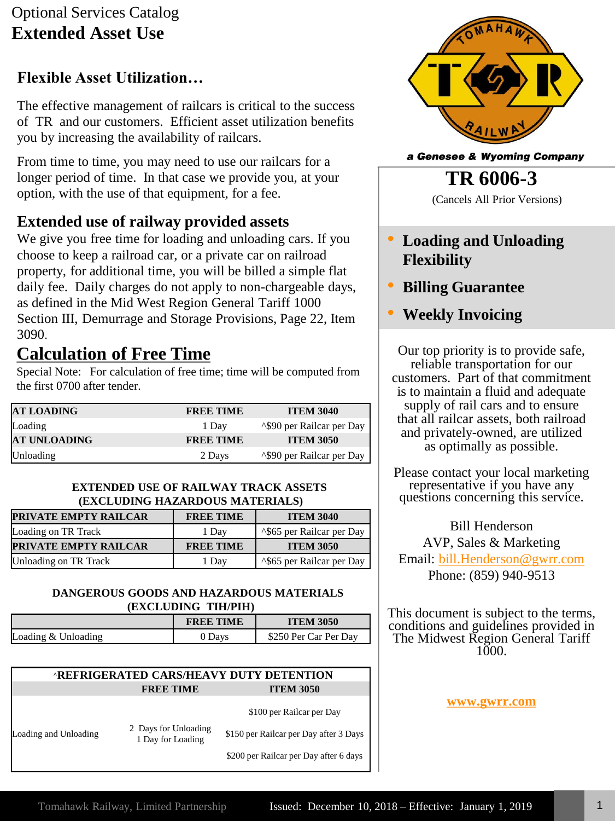# Optional Services Catalog **Extended Asset Use**

## **Flexible Asset Utilization…**

The effective management of railcars is critical to the success of TR and our customers. Efficient asset utilization benefits you by increasing the availability of railcars.

From time to time, you may need to use our railcars for a longer period of time. In that case we provide you, at your option, with the use of that equipment, for a fee.

## **Extended use of railway provided assets**

We give you free time for loading and unloading cars. If you choose to keep a railroad car, or a private car on railroad property, for additional time, you will be billed a simple flat daily fee. Daily charges do not apply to non-chargeable days, as defined in the Mid West Region General Tariff 1000 Section III, Demurrage and Storage Provisions, Page 22, Item 3090.

# **Calculation of Free Time**

Special Note: For calculation of free time; time will be computed from the first 0700 after tender.

| <b>AT LOADING</b> | <b>FREE TIME</b> | <b>ITEM 3040</b>                       |
|-------------------|------------------|----------------------------------------|
| Loading           | 1 Day            | <sup>1</sup> \\$90 per Railcar per Day |
| AT UNLOADING      | <b>FREE TIME</b> | <b>ITEM 3050</b>                       |
| Unloading         | 2 Days           | <sup>1</sup> \\$90 per Railcar per Day |

#### **EXTENDED USE OF RAILWAY TRACK ASSETS (EXCLUDING HAZARDOUS MATERIALS)**

| PRIVATE EMPTY RAILCAR | <b>FREE TIME</b> | <b>ITEM 3040</b>                       |
|-----------------------|------------------|----------------------------------------|
| Loading on TR Track   | 1 Dav            | <sup>1</sup> \\$65 per Railcar per Day |
| PRIVATE EMPTY RAILCAR | <b>FREE TIME</b> | <b>ITEM 3050</b>                       |
| Unloading on TR Track | 1 Day            | <sup>1</sup> \\$65 per Railcar per Day |

#### **DANGEROUS GOODS AND HAZARDOUS MATERIALS (EXCLUDING TIH/PIH)**

|                     | <b>FREE TIME</b> | <b>ITEM 3050</b>      |
|---------------------|------------------|-----------------------|
| Loading & Unloading | J Davs           | \$250 Per Car Per Day |

#### **^REFRIGERATED CARS/HEAVY DUTY DETENTION FREE TIME ITEM 3050**

\$100 per Railcar per Day

Loading and Unloading 2 Days for Unloading 1 Day for Loading

\$150 per Railcar per Day after 3 Days

\$200 per Railcar per Day after 6 days



a Genesee & Wyoming Company

**TR 6006-3**

(Cancels All Prior Versions)

- **Loading and Unloading Flexibility**
- **Billing Guarantee**
- **Weekly Invoicing**

Our top priority is to provide safe, reliable transportation for our customers. Part of that commitment is to maintain a fluid and adequate supply of rail cars and to ensure that all railcar assets, both railroad and privately-owned, are utilized as optimally as possible.

Please contact your local marketing representative if you have any questions concerning this service.

Bill Henderson AVP, Sales & Marketing Email: [bill.Henderson@gwrr.com](mailto:bill.Henderson@gwrr.com) Phone: (859) 940-9513

This document is subject to the terms, conditions and guidelines provided in The Midwest Region General Tariff  $1000$ .

**[www.gwrr.com](http://www.gwrr.com/)**